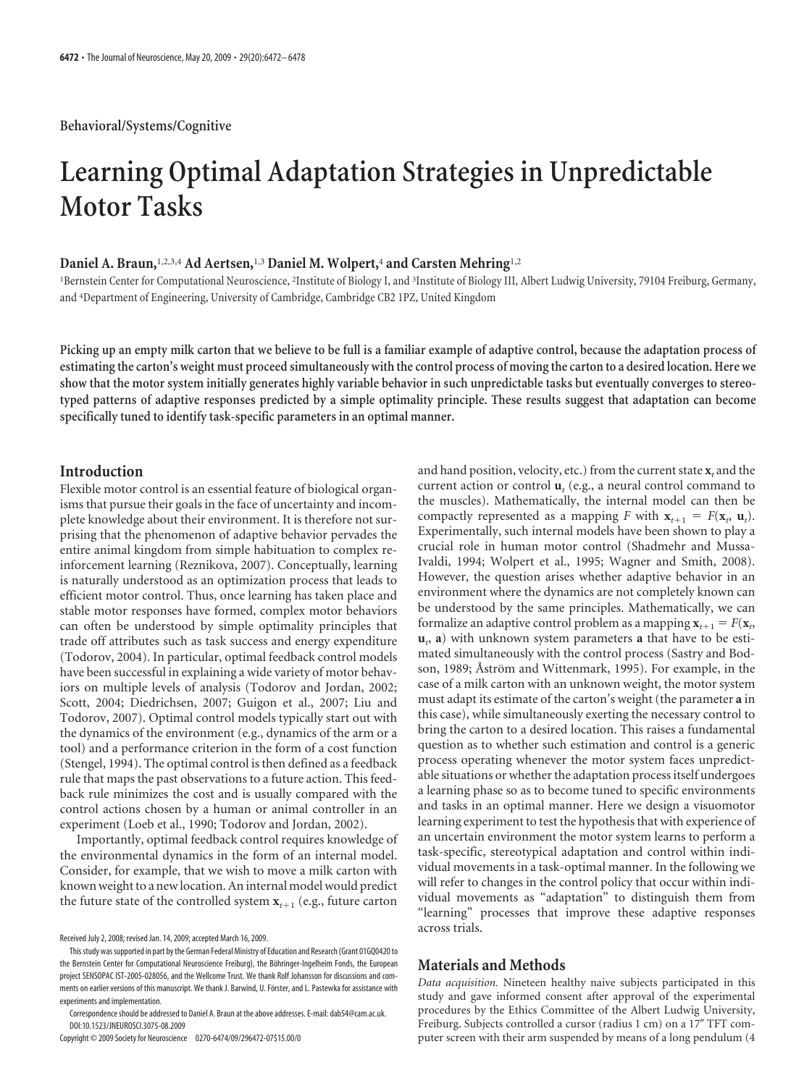# **Learning Optimal Adaptation Strategies in Unpredictable Motor Tasks**

# **Daniel A. Braun,**1,2,3,4 **Ad Aertsen,**1,3 **Daniel M. Wolpert,**<sup>4</sup> **and Carsten Mehring**1,2

<sup>1</sup>Bernstein Center for Computational Neuroscience, <sup>2</sup>Institute of Biology I, and <sup>3</sup>Institute of Biology III, Albert Ludwig University, 79104 Freiburg, Germany, and <sup>4</sup> Department of Engineering, University of Cambridge, Cambridge CB2 1PZ, United Kingdom

**Picking up an empty milk carton that we believe to be full is a familiar example of adaptive control, because the adaptation process of estimating the carton's weight must proceed simultaneously with the control process of moving the carton to a desired location. Here we show that the motor system initially generates highly variable behavior in such unpredictable tasks but eventually converges to stereotyped patterns of adaptive responses predicted by a simple optimality principle. These results suggest that adaptation can become specifically tuned to identify task-specific parameters in an optimal manner.**

## **Introduction**

Flexible motor control is an essential feature of biological organisms that pursue their goals in the face of uncertainty and incomplete knowledge about their environment. It is therefore not surprising that the phenomenon of adaptive behavior pervades the entire animal kingdom from simple habituation to complex reinforcement learning (Reznikova, 2007). Conceptually, learning is naturally understood as an optimization process that leads to efficient motor control. Thus, once learning has taken place and stable motor responses have formed, complex motor behaviors can often be understood by simple optimality principles that trade off attributes such as task success and energy expenditure (Todorov, 2004). In particular, optimal feedback control models have been successful in explaining a wide variety of motor behaviors on multiple levels of analysis (Todorov and Jordan, 2002; Scott, 2004; Diedrichsen, 2007; Guigon et al., 2007; Liu and Todorov, 2007). Optimal control models typically start out with the dynamics of the environment (e.g., dynamics of the arm or a tool) and a performance criterion in the form of a cost function (Stengel, 1994). The optimal control is then defined as a feedback rule that maps the past observations to a future action. This feedback rule minimizes the cost and is usually compared with the control actions chosen by a human or animal controller in an experiment (Loeb et al., 1990; Todorov and Jordan, 2002).

Importantly, optimal feedback control requires knowledge of the environmental dynamics in the form of an internal model. Consider, for example, that we wish to move a milk carton with known weight to a new location. An internal model would predict the future state of the controlled system  $\mathbf{x}_{t+1}$  (e.g., future carton

Copyright © 2009 Society for Neuroscience 0270-6474/09/296472-07\$15.00/0

and hand position, velocity, etc.) from the current state **x***<sup>t</sup>* and the current action or control  $\mathbf{u}_t$  (e.g., a neural control command to the muscles). Mathematically, the internal model can then be compactly represented as a mapping *F* with  $\mathbf{x}_{t+1} = F(\mathbf{x}_t, \mathbf{u}_t)$ . Experimentally, such internal models have been shown to play a crucial role in human motor control (Shadmehr and Mussa-Ivaldi, 1994; Wolpert et al., 1995; Wagner and Smith, 2008). However, the question arises whether adaptive behavior in an environment where the dynamics are not completely known can be understood by the same principles. Mathematically, we can formalize an adaptive control problem as a mapping  $\mathbf{x}_{t+1} = F(\mathbf{x}_t)$ **u***t* , **a**) with unknown system parameters **a** that have to be estimated simultaneously with the control process (Sastry and Bodson, 1989; Åström and Wittenmark, 1995). For example, in the case of a milk carton with an unknown weight, the motor system must adapt its estimate of the carton's weight (the parameter **a** in this case), while simultaneously exerting the necessary control to bring the carton to a desired location. This raises a fundamental question as to whether such estimation and control is a generic process operating whenever the motor system faces unpredictable situations or whether the adaptation process itself undergoes a learning phase so as to become tuned to specific environments and tasks in an optimal manner. Here we design a visuomotor learning experiment to test the hypothesis that with experience of an uncertain environment the motor system learns to perform a task-specific, stereotypical adaptation and control within individual movements in a task-optimal manner. In the following we will refer to changes in the control policy that occur within individual movements as "adaptation" to distinguish them from "learning" processes that improve these adaptive responses across trials.

#### **Materials and Methods**

*Data acquisition.* Nineteen healthy naive subjects participated in this study and gave informed consent after approval of the experimental procedures by the Ethics Committee of the Albert Ludwig University, Freiburg. Subjects controlled a cursor (radius 1 cm) on a 17" TFT computer screen with their arm suspended by means of a long pendulum (4

Received July 2, 2008; revised Jan. 14, 2009; accepted March 16, 2009.

Thisstudy wassupported in part by the German Federal Ministry of Education and Research (Grant 01GQ0420 to the Bernstein Center for Computational Neuroscience Freiburg), the Böhringer-Ingelheim Fonds, the European project SENSOPAC IST-2005-028056, and the Wellcome Trust. We thank Rolf Johansson for discussions and comments on earlier versions of this manuscript. We thank J. Barwind, U. Förster, and L. Pastewka for assistance with experiments and implementation.

Correspondence should be addressed to Daniel A. Braun at the above addresses. E-mail: dab54@cam.ac.uk. DOI:10.1523/JNEUROSCI.3075-08.2009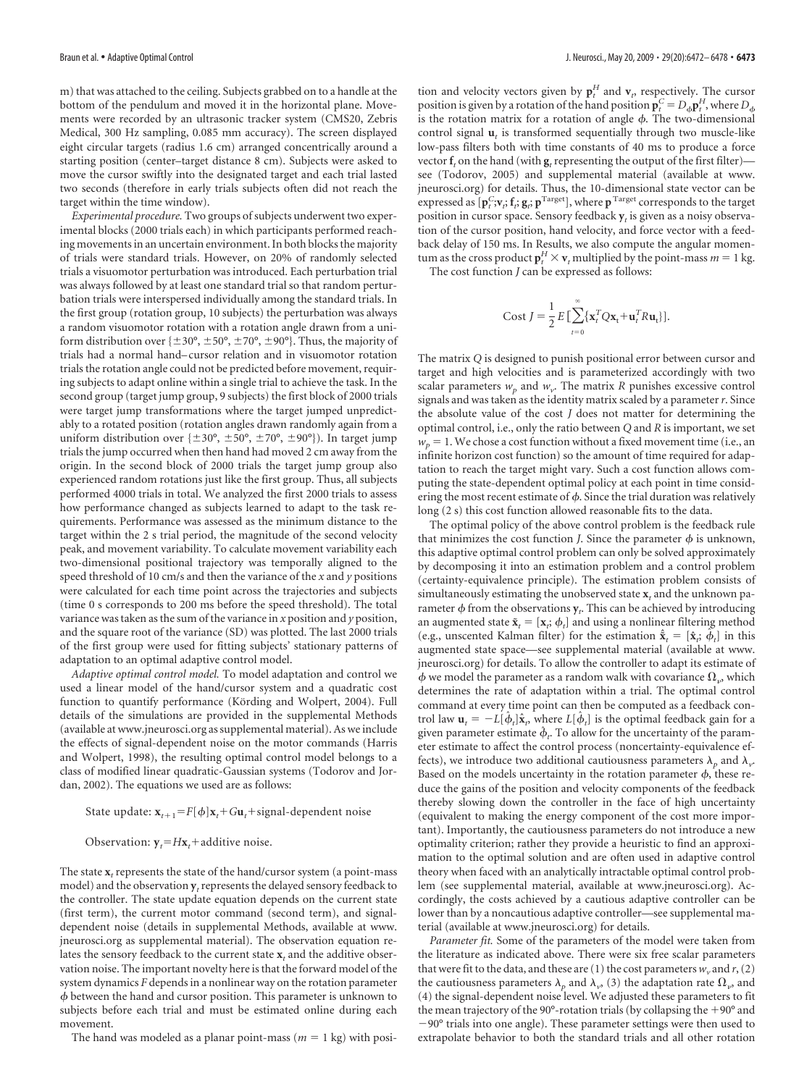m) that was attached to the ceiling. Subjects grabbed on to a handle at the bottom of the pendulum and moved it in the horizontal plane. Movements were recorded by an ultrasonic tracker system (CMS20, Zebris Medical, 300 Hz sampling, 0.085 mm accuracy). The screen displayed eight circular targets (radius 1.6 cm) arranged concentrically around a starting position (center–target distance 8 cm). Subjects were asked to move the cursor swiftly into the designated target and each trial lasted two seconds (therefore in early trials subjects often did not reach the target within the time window).

*Experimental procedure.* Two groups of subjects underwent two experimental blocks (2000 trials each) in which participants performed reaching movements in an uncertain environment. In both blocks the majority of trials were standard trials. However, on 20% of randomly selected trials a visuomotor perturbation was introduced. Each perturbation trial was always followed by at least one standard trial so that random perturbation trials were interspersed individually among the standard trials. In the first group (rotation group, 10 subjects) the perturbation was always a random visuomotor rotation with a rotation angle drawn from a uniform distribution over  $\{\pm 30^{\circ}, \pm 50^{\circ}, \pm 70^{\circ}, \pm 90^{\circ}\}\$ . Thus, the majority of trials had a normal hand– cursor relation and in visuomotor rotation trials the rotation angle could not be predicted before movement, requiring subjects to adapt online within a single trial to achieve the task. In the second group (target jump group, 9 subjects) the first block of 2000 trials were target jump transformations where the target jumped unpredictably to a rotated position (rotation angles drawn randomly again from a uniform distribution over  $\{\pm 30^\circ, \pm 50^\circ, \pm 70^\circ, \pm 90^\circ\}$ ). In target jump trials the jump occurred when then hand had moved 2 cm away from the origin. In the second block of 2000 trials the target jump group also experienced random rotations just like the first group. Thus, all subjects performed 4000 trials in total. We analyzed the first 2000 trials to assess how performance changed as subjects learned to adapt to the task requirements. Performance was assessed as the minimum distance to the target within the 2 s trial period, the magnitude of the second velocity peak, and movement variability. To calculate movement variability each two-dimensional positional trajectory was temporally aligned to the speed threshold of 10 cm/s and then the variance of the *x* and *y* positions were calculated for each time point across the trajectories and subjects (time 0 s corresponds to 200 ms before the speed threshold). The total variance was taken as the sum of the variance in *x* position and *y* position, and the square root of the variance (SD) was plotted. The last 2000 trials of the first group were used for fitting subjects' stationary patterns of adaptation to an optimal adaptive control model.

*Adaptive optimal control model.* To model adaptation and control we used a linear model of the hand/cursor system and a quadratic cost function to quantify performance (Körding and Wolpert, 2004). Full details of the simulations are provided in the supplemental Methods (available at www.jneurosci.org as supplemental material). As we include the effects of signal-dependent noise on the motor commands (Harris and Wolpert, 1998), the resulting optimal control model belongs to a class of modified linear quadratic-Gaussian systems (Todorov and Jordan, 2002). The equations we used are as follows:

State update:  $\mathbf{x}_{t+1} = F[\phi] \mathbf{x}_t + G \mathbf{u}_t + \text{signal-dependent noise}$ 

Observation:  $y_t = Hx_t +$  additive noise.

The state  $\mathbf{x}_t$  represents the state of the hand/cursor system (a point-mass model) and the observation **y***t*represents the delayed sensory feedback to the controller. The state update equation depends on the current state (first term), the current motor command (second term), and signaldependent noise (details in supplemental Methods, available at www. jneurosci.org as supplemental material). The observation equation relates the sensory feedback to the current state **x***<sup>t</sup>* and the additive observation noise. The important novelty here is that the forward model of the system dynamics *F* depends in a nonlinear way on the rotation parameter  $\phi$  between the hand and cursor position. This parameter is unknown to subjects before each trial and must be estimated online during each movement.

The hand was modeled as a planar point-mass ( $m = 1$  kg) with posi-

tion and velocity vectors given by  $\mathbf{p}^H_t$  and  $\mathbf{v}_t$  respectively. The cursor position is given by a rotation of the hand position  $\mathbf{p}_t^C = D_{\phi} \mathbf{p}_t^H$ , where  $D_{\phi}$ is the rotation matrix for a rotation of angle  $\phi$ . The two-dimensional control signal **u***<sup>t</sup>* is transformed sequentially through two muscle-like low-pass filters both with time constants of 40 ms to produce a force vector  $f$ <sub>*t*</sub> on the hand (with  $g$ <sub>*t*</sub> representing the output of the first filter) see (Todorov, 2005) and supplemental material (available at www. jneurosci.org) for details. Thus, the 10-dimensional state vector can be expressed as  $[\mathbf{p}_t^C; \! \mathbf{v}_t; \mathbf{f}_t; \mathbf{g}_t; \mathbf{p}^{\text{Target}}],$  where  $\mathbf{p}^{\text{Target}}$  corresponds to the target position in cursor space. Sensory feedback **y***<sup>t</sup>* is given as a noisy observation of the cursor position, hand velocity, and force vector with a feedback delay of 150 ms. In Results, we also compute the angular momentum as the cross product  $\mathbf{p}_t^H \times \mathbf{v}_t$  multiplied by the point-mass  $m = 1$  kg.

The cost function *J* can be expressed as follows:

Cost 
$$
J = \frac{1}{2} E \left[ \sum_{t=0}^{\infty} {\mathbf{x}_t}^T Q \mathbf{x}_t + \mathbf{u}_t^T R \mathbf{u}_t \right].
$$

The matrix *Q* is designed to punish positional error between cursor and target and high velocities and is parameterized accordingly with two scalar parameters  $w_p$  and  $w_v$ . The matrix *R* punishes excessive control signals and was taken as the identity matrix scaled by a parameter*r*. Since the absolute value of the cost *J* does not matter for determining the optimal control, i.e., only the ratio between *Q* and *R* is important, we set  $w_p = 1$ . We chose a cost function without a fixed movement time (i.e., an infinite horizon cost function) so the amount of time required for adaptation to reach the target might vary. Such a cost function allows computing the state-dependent optimal policy at each point in time considering the most recent estimate of  $\phi$ . Since the trial duration was relatively long (2 s) this cost function allowed reasonable fits to the data.

The optimal policy of the above control problem is the feedback rule that minimizes the cost function *J*. Since the parameter  $\phi$  is unknown, this adaptive optimal control problem can only be solved approximately by decomposing it into an estimation problem and a control problem (certainty-equivalence principle). The estimation problem consists of simultaneously estimating the unobserved state **x***<sup>t</sup>* and the unknown parameter  $\phi$  from the observations  $\mathbf{y}_t$ . This can be achieved by introducing an augmented state  $\tilde{\mathbf{x}}_t = [\mathbf{x}_i; \boldsymbol{\phi}_t]$  and using a nonlinear filtering method (e.g., unscented Kalman filter) for the estimation  $\hat{\mathbf{x}}_t = [\hat{\mathbf{x}}_t; \hat{\phi}_t]$  in this augmented state space—see supplemental material (available at www. jneurosci.org) for details. To allow the controller to adapt its estimate of  $\phi$  we model the parameter as a random walk with covariance  $\Omega_{\nu}$ , which determines the rate of adaptation within a trial. The optimal control command at every time point can then be computed as a feedback control law  $\mathbf{u}_t = -L[\hat{\boldsymbol{\phi}}_t]\hat{\mathbf{x}}_t$ , where  $L[\hat{\boldsymbol{\phi}}_t]$  is the optimal feedback gain for a given parameter estimate  $\phi_t$ . To allow for the uncertainty of the parameter estimate to affect the control process (noncertainty-equivalence effects), we introduce two additional cautiousness parameters  $\lambda_n$  and  $\lambda_n$ . Based on the models uncertainty in the rotation parameter  $\phi$ , these reduce the gains of the position and velocity components of the feedback thereby slowing down the controller in the face of high uncertainty (equivalent to making the energy component of the cost more important). Importantly, the cautiousness parameters do not introduce a new optimality criterion; rather they provide a heuristic to find an approximation to the optimal solution and are often used in adaptive control theory when faced with an analytically intractable optimal control problem (see supplemental material, available at www.jneurosci.org). Accordingly, the costs achieved by a cautious adaptive controller can be lower than by a noncautious adaptive controller—see supplemental material (available at www.jneurosci.org) for details.

*Parameter fit.* Some of the parameters of the model were taken from the literature as indicated above. There were six free scalar parameters that were fit to the data, and these are (1) the cost parameters  $w<sub>v</sub>$  and  $r$ , (2) the cautiousness parameters  $\lambda_p$  and  $\lambda_v$ , (3) the adaptation rate  $\Omega_v$ , and (4) the signal-dependent noise level. We adjusted these parameters to fit the mean trajectory of the 90 $^{\circ}$ -rotation trials (by collapsing the  $+90^{\circ}$  and  $-90^\circ$  trials into one angle). These parameter settings were then used to extrapolate behavior to both the standard trials and all other rotation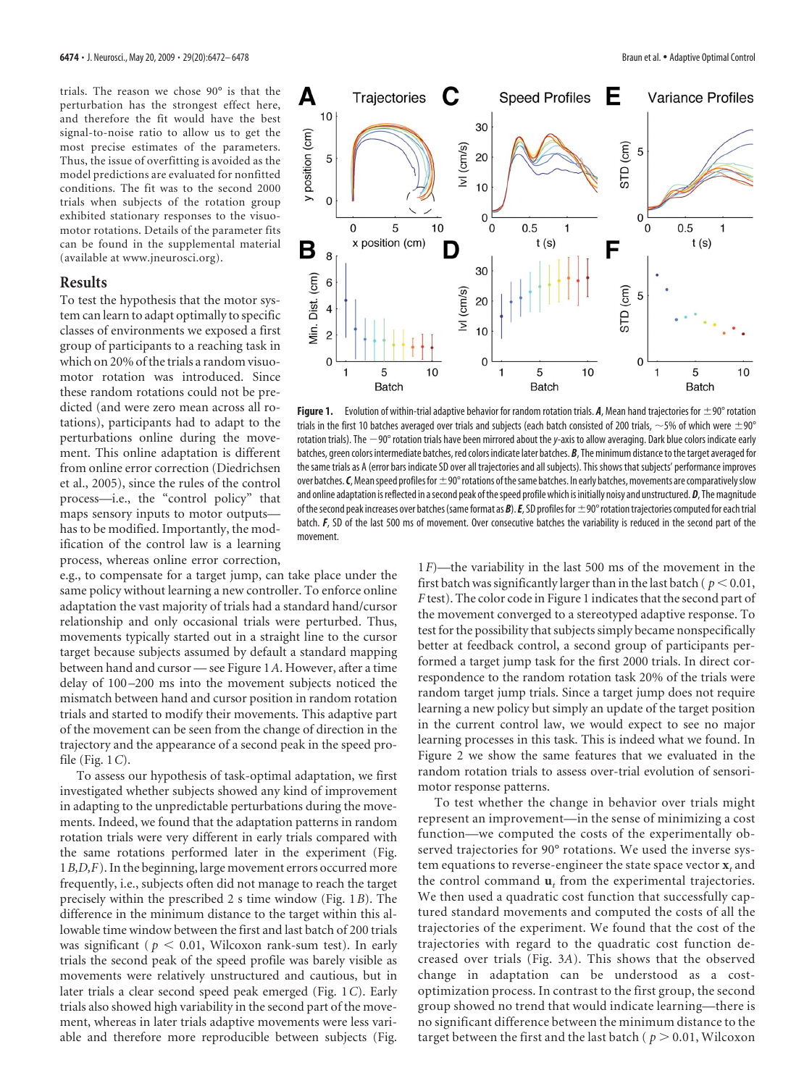trials. The reason we chose 90° is that the perturbation has the strongest effect here, and therefore the fit would have the best signal-to-noise ratio to allow us to get the most precise estimates of the parameters. Thus, the issue of overfitting is avoided as the model predictions are evaluated for nonfitted conditions. The fit was to the second 2000 trials when subjects of the rotation group exhibited stationary responses to the visuomotor rotations. Details of the parameter fits can be found in the supplemental material (available at www.jneurosci.org).

### **Results**

To test the hypothesis that the motor system can learn to adapt optimally to specific classes of environments we exposed a first group of participants to a reaching task in which on 20% of the trials a random visuomotor rotation was introduced. Since these random rotations could not be predicted (and were zero mean across all rotations), participants had to adapt to the perturbations online during the movement. This online adaptation is different from online error correction (Diedrichsen et al., 2005), since the rules of the control process—i.e., the "control policy" that maps sensory inputs to motor outputs has to be modified. Importantly, the modification of the control law is a learning process, whereas online error correction,

e.g., to compensate for a target jump, can take place under the same policy without learning a new controller. To enforce online adaptation the vast majority of trials had a standard hand/cursor relationship and only occasional trials were perturbed. Thus, movements typically started out in a straight line to the cursor target because subjects assumed by default a standard mapping between hand and cursor — see Figure 1*A*. However, after a time delay of 100 –200 ms into the movement subjects noticed the mismatch between hand and cursor position in random rotation trials and started to modify their movements. This adaptive part of the movement can be seen from the change of direction in the trajectory and the appearance of a second peak in the speed profile (Fig. 1*C*).

To assess our hypothesis of task-optimal adaptation, we first investigated whether subjects showed any kind of improvement in adapting to the unpredictable perturbations during the movements. Indeed, we found that the adaptation patterns in random rotation trials were very different in early trials compared with the same rotations performed later in the experiment (Fig. 1*B,D,F*). In the beginning, large movement errors occurred more frequently, i.e., subjects often did not manage to reach the target precisely within the prescribed 2 s time window (Fig. 1*B*). The difference in the minimum distance to the target within this allowable time window between the first and last batch of 200 trials was significant ( $p < 0.01$ , Wilcoxon rank-sum test). In early trials the second peak of the speed profile was barely visible as movements were relatively unstructured and cautious, but in later trials a clear second speed peak emerged (Fig. 1*C*). Early trials also showed high variability in the second part of the movement, whereas in later trials adaptive movements were less variable and therefore more reproducible between subjects (Fig.



Figure 1. Evolution of within-trial adaptive behavior for random rotation trials. *A*, Mean hand trajectories for  $\pm$ 90° rotation trials in the first 10 batches averaged over trials and subjects (each batch consisted of 200 trials,  $\sim$  5% of which were  $\pm$  90° rotation trials). The  $-90^\circ$  rotation trials have been mirrored about the y-axis to allow averaging. Dark blue colors indicate early batches, green colors intermediate batches, red colors indicate later batches. *B*, The minimum distance to the target averaged for the same trials as A (error bars indicate SD over all trajectories and all subjects). This shows that subjects' performance improves over batches. C, Mean speed profiles for  $\pm 90^\circ$  rotations of the same batches. In early batches, movements are comparatively slow and online adaptation isreflected in asecond peak ofthespeed profile which is initially noisy and unstructured. *D*, Themagnitude of the second peak increases over batches (same format as *B*). *E*, SD profiles for  $\pm$ 90° rotation trajectories computed for each trial batch. *F*, SD of the last 500 ms of movement. Over consecutive batches the variability is reduced in the second part of the movement.

1*F*)—the variability in the last 500 ms of the movement in the first batch was significantly larger than in the last batch ( $p < 0.01$ , *F* test). The color code in Figure 1 indicates that the second part of the movement converged to a stereotyped adaptive response. To test for the possibility that subjects simply became nonspecifically better at feedback control, a second group of participants performed a target jump task for the first 2000 trials. In direct correspondence to the random rotation task 20% of the trials were random target jump trials. Since a target jump does not require learning a new policy but simply an update of the target position in the current control law, we would expect to see no major learning processes in this task. This is indeed what we found. In Figure 2 we show the same features that we evaluated in the random rotation trials to assess over-trial evolution of sensorimotor response patterns.

To test whether the change in behavior over trials might represent an improvement—in the sense of minimizing a cost function—we computed the costs of the experimentally observed trajectories for 90° rotations. We used the inverse system equations to reverse-engineer the state space vector  $\mathbf{x}_t$  and the control command  $\mathbf{u}_t$  from the experimental trajectories. We then used a quadratic cost function that successfully captured standard movements and computed the costs of all the trajectories of the experiment. We found that the cost of the trajectories with regard to the quadratic cost function decreased over trials (Fig. 3*A*). This shows that the observed change in adaptation can be understood as a costoptimization process. In contrast to the first group, the second group showed no trend that would indicate learning—there is no significant difference between the minimum distance to the target between the first and the last batch ( $p > 0.01$ , Wilcoxon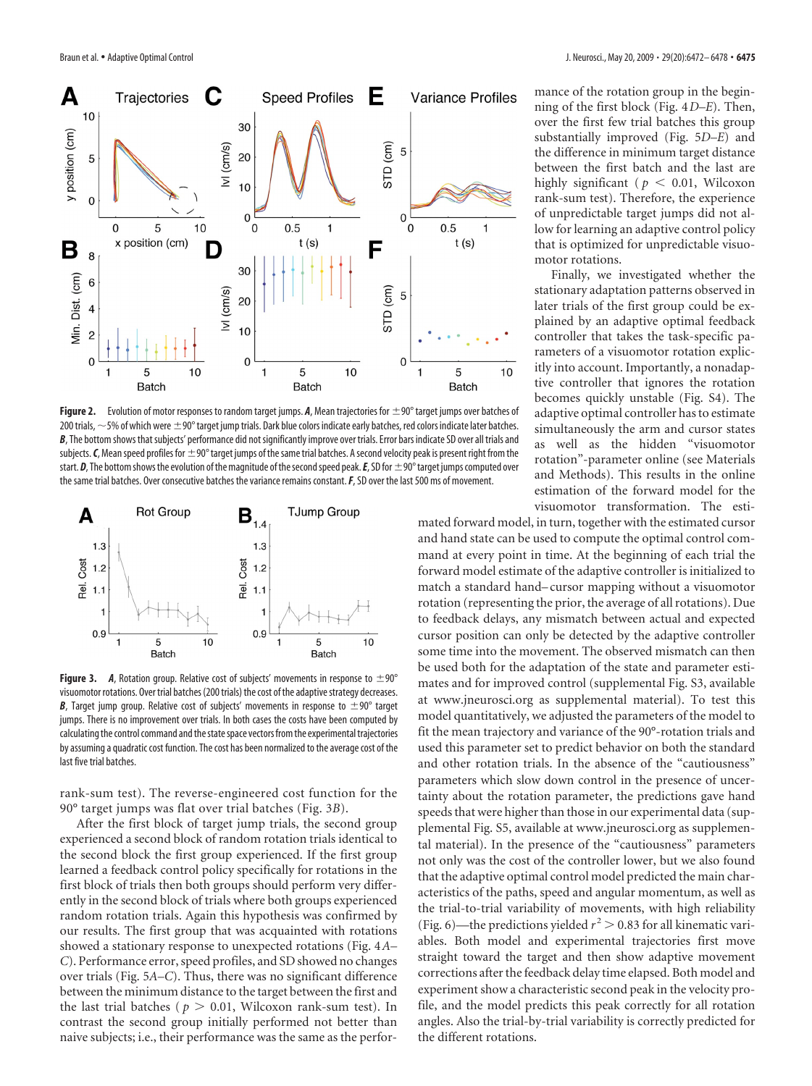

Figure 2. Evolution of motor responses to random target jumps. A, Mean trajectories for  $\pm$ 90° target jumps over batches of 200 trials,  $\sim$  5% of which were  $\pm$  90° target jump trials. Dark blue colors indicate early batches, red colors indicate later batches. B, The bottom shows that subjects' performance did not significantly improve over trials. Error bars indicate SD over all trials and subjects.  $C$ , Mean speed profiles for  $\pm 90^\circ$  target jumps of the same trial batches. A second velocity peak is present right from the start.  $D$ , The bottom shows the evolution of the magnitude of the second speed peak.  $E$ , SD for  $\pm$ 90°target jumps computed over the same trial batches. Over consecutive batches the variance remains constant.*F*, SD over the last 500 ms of movement.



**Figure 3.** *A*, Rotation group. Relative cost of subjects' movements in response to  $\pm 90^\circ$ visuomotor rotations. Over trial batches (200 trials) the cost of the adaptive strategy decreases. **B**, Target jump group. Relative cost of subjects' movements in response to  $\pm 90^\circ$  target jumps. There is no improvement over trials. In both cases the costs have been computed by calculating the control command and the state space vectors from the experimental trajectories by assuming a quadratic cost function. The cost has been normalized to the average cost of the last five trial batches.

rank-sum test). The reverse-engineered cost function for the 90° target jumps was flat over trial batches (Fig. 3*B*).

After the first block of target jump trials, the second group experienced a second block of random rotation trials identical to the second block the first group experienced. If the first group learned a feedback control policy specifically for rotations in the first block of trials then both groups should perform very differently in the second block of trials where both groups experienced random rotation trials. Again this hypothesis was confirmed by our results. The first group that was acquainted with rotations showed a stationary response to unexpected rotations (Fig. 4*A– C*). Performance error, speed profiles, and SD showed no changes over trials (Fig. 5*A–C*). Thus, there was no significant difference between the minimum distance to the target between the first and the last trial batches ( $p > 0.01$ , Wilcoxon rank-sum test). In contrast the second group initially performed not better than naive subjects; i.e., their performance was the same as the performance of the rotation group in the beginning of the first block (Fig. 4*D–E*). Then, over the first few trial batches this group substantially improved (Fig. 5*D–E*) and the difference in minimum target distance between the first batch and the last are highly significant ( $p < 0.01$ , Wilcoxon rank-sum test). Therefore, the experience of unpredictable target jumps did not allow for learning an adaptive control policy that is optimized for unpredictable visuomotor rotations.

Finally, we investigated whether the stationary adaptation patterns observed in later trials of the first group could be explained by an adaptive optimal feedback controller that takes the task-specific parameters of a visuomotor rotation explicitly into account. Importantly, a nonadaptive controller that ignores the rotation becomes quickly unstable (Fig. S4). The adaptive optimal controller has to estimate simultaneously the arm and cursor states as well as the hidden "visuomotor rotation"-parameter online (see Materials and Methods). This results in the online estimation of the forward model for the visuomotor transformation. The esti-

mated forward model, in turn, together with the estimated cursor and hand state can be used to compute the optimal control command at every point in time. At the beginning of each trial the forward model estimate of the adaptive controller is initialized to match a standard hand– cursor mapping without a visuomotor rotation (representing the prior, the average of all rotations). Due to feedback delays, any mismatch between actual and expected cursor position can only be detected by the adaptive controller some time into the movement. The observed mismatch can then be used both for the adaptation of the state and parameter estimates and for improved control (supplemental Fig. S3, available at www.jneurosci.org as supplemental material). To test this model quantitatively, we adjusted the parameters of the model to fit the mean trajectory and variance of the 90°-rotation trials and used this parameter set to predict behavior on both the standard and other rotation trials. In the absence of the "cautiousness" parameters which slow down control in the presence of uncertainty about the rotation parameter, the predictions gave hand speeds that were higher than those in our experimental data (supplemental Fig. S5, available at www.jneurosci.org as supplemental material). In the presence of the "cautiousness" parameters not only was the cost of the controller lower, but we also found that the adaptive optimal control model predicted the main characteristics of the paths, speed and angular momentum, as well as the trial-to-trial variability of movements, with high reliability (Fig. 6)—the predictions yielded  $r^2 > 0.83$  for all kinematic variables. Both model and experimental trajectories first move straight toward the target and then show adaptive movement corrections after the feedback delay time elapsed. Both model and experiment show a characteristic second peak in the velocity profile, and the model predicts this peak correctly for all rotation angles. Also the trial-by-trial variability is correctly predicted for the different rotations.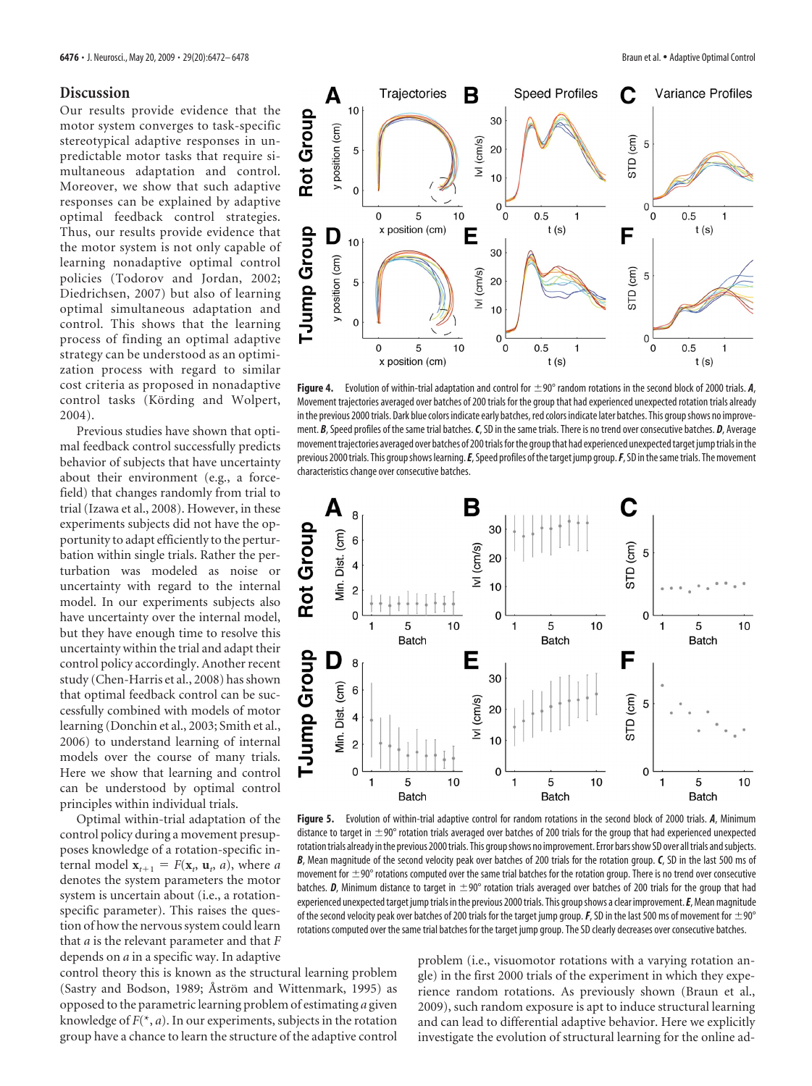#### **Discussion**

Our results provide evidence that the motor system converges to task-specific stereotypical adaptive responses in unpredictable motor tasks that require simultaneous adaptation and control. Moreover, we show that such adaptive responses can be explained by adaptive optimal feedback control strategies. Thus, our results provide evidence that the motor system is not only capable of learning nonadaptive optimal control policies (Todorov and Jordan, 2002; Diedrichsen, 2007) but also of learning optimal simultaneous adaptation and control. This shows that the learning process of finding an optimal adaptive strategy can be understood as an optimization process with regard to similar cost criteria as proposed in nonadaptive control tasks (Körding and Wolpert, 2004).

Previous studies have shown that optimal feedback control successfully predicts behavior of subjects that have uncertainty about their environment (e.g., a forcefield) that changes randomly from trial to trial (Izawa et al., 2008). However, in these experiments subjects did not have the opportunity to adapt efficiently to the perturbation within single trials. Rather the perturbation was modeled as noise or uncertainty with regard to the internal model. In our experiments subjects also have uncertainty over the internal model, but they have enough time to resolve this uncertainty within the trial and adapt their control policy accordingly. Another recent study (Chen-Harris et al., 2008) has shown that optimal feedback control can be successfully combined with models of motor learning (Donchin et al., 2003; Smith et al., 2006) to understand learning of internal models over the course of many trials. Here we show that learning and control can be understood by optimal control principles within individual trials.

Optimal within-trial adaptation of the control policy during a movement presupposes knowledge of a rotation-specific internal model  $\mathbf{x}_{t+1} = F(\mathbf{x}_t, \mathbf{u}_t, a)$ , where *a* denotes the system parameters the motor system is uncertain about (i.e., a rotationspecific parameter). This raises the question of how the nervous system could learn that *a* is the relevant parameter and that *F* depends on *a* in a specific way. In adaptive

control theory this is known as the structural learning problem (Sastry and Bodson, 1989; Åström and Wittenmark, 1995) as opposed to the parametric learning problem of estimating *a* given knowledge of  $F(*, a)$ . In our experiments, subjects in the rotation group have a chance to learn the structure of the adaptive control

**Figure 4.** Evolution of within-trial adaptation and control for  $\pm$ 90° random rotations in the second block of 2000 trials. *A*, Movement trajectories averaged over batches of 200 trials for the group that had experienced unexpected rotation trials already in the previous 2000 trials. Dark blue colors indicate early batches, red colors indicate later batches. This group shows no improvement. *B*, Speed profiles of the same trial batches.*C*, SD in the same trials. There is no trend over consecutive batches. *D*, Average movement trajectories averaged over batches of 200 trials for the group that had experienced unexpected target jump trials in the previous 2000 trials. This group shows learning. E, Speed profiles of the target jump group. F, SD in the same trials. The movement characteristics change over consecutive batches.



**Figure 5.** Evolution of within-trial adaptive control for random rotations in the second block of 2000 trials. *A*, Minimum distance to target in  $\pm$ 90° rotation trials averaged over batches of 200 trials for the group that had experienced unexpected rotation trials already in the previous 2000 trials. This group shows no improvement. Error bars show SD over all trials and subjects. *B*, Mean magnitude of the second velocity peak over batches of 200 trials for the rotation group. *C*, SD in the last 500 ms of movement for  $\pm$ 90 $^{\circ}$  rotations computed over the same trial batches for the rotation group. There is no trend over consecutive batches. **D**, Minimum distance to target in  $\pm 90^\circ$  rotation trials averaged over batches of 200 trials for the group that had experienced unexpected target jump trials in the previous 2000 trials. This group shows a clear improvement. **E**, Mean magnitude of the second velocity peak over batches of 200 trials for the target jump group.  $F$ , SD in the last 500 ms of movement for  $\pm 90^\circ$ rotations computed over the same trial batches for the target jump group. The SD clearly decreases over consecutive batches.

problem (i.e., visuomotor rotations with a varying rotation angle) in the first 2000 trials of the experiment in which they experience random rotations. As previously shown (Braun et al., 2009), such random exposure is apt to induce structural learning and can lead to differential adaptive behavior. Here we explicitly investigate the evolution of structural learning for the online ad-

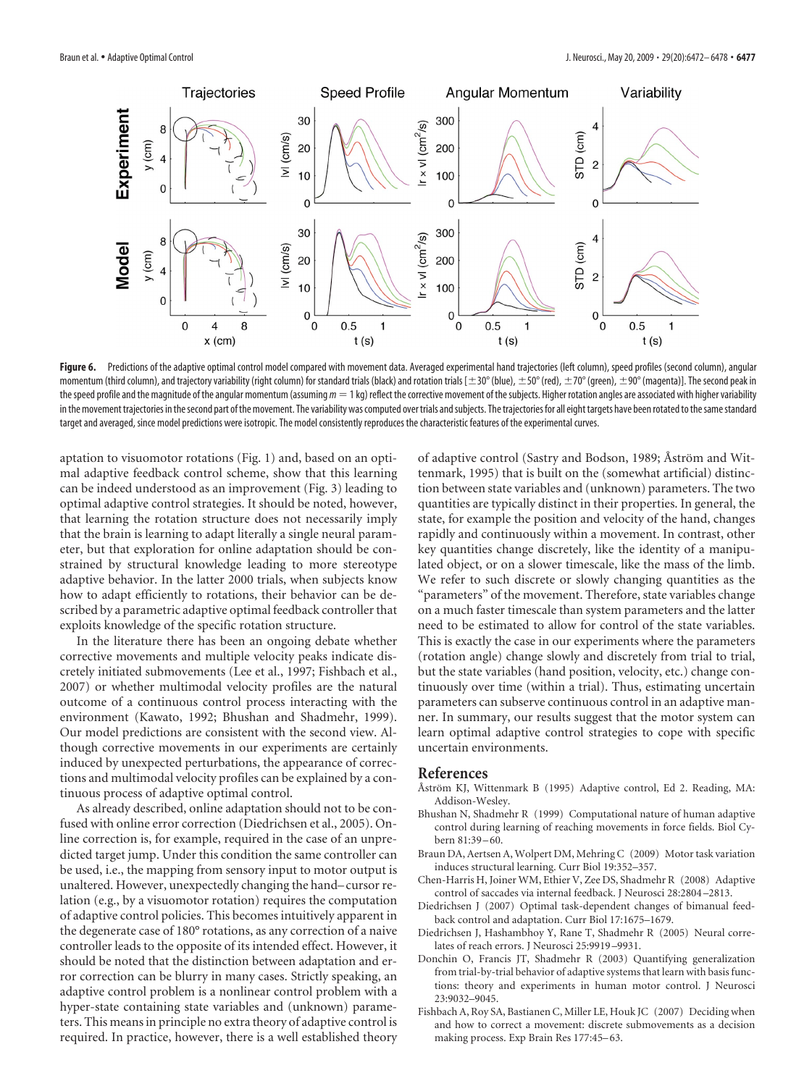

Figure 6. Predictions of the adaptive optimal control model compared with movement data. Averaged experimental hand trajectories (left column), speed profiles (second column), angular momentum (third column), and trajectory variability (right column) for standard trials (black) and rotation trials [ $\pm 30^{\circ}$  (blue),  $\pm 50^{\circ}$  (red),  $\pm 70^{\circ}$  (green),  $\pm 90^{\circ}$  (magenta)]. The second peak in the speed profile and the magnitude of the angular momentum (assuming  $m = 1$  kg) reflect the corrective movement of the subjects. Higher rotation angles are associated with higher variability in the movement trajectories in the second part of the movement. The variability was computed over trials and subjects. The trajectories for all eight targets have been rotated to the same standard target and averaged, since model predictions were isotropic. The model consistently reproduces the characteristic features of the experimental curves.

aptation to visuomotor rotations (Fig. 1) and, based on an optimal adaptive feedback control scheme, show that this learning can be indeed understood as an improvement (Fig. 3) leading to optimal adaptive control strategies. It should be noted, however, that learning the rotation structure does not necessarily imply that the brain is learning to adapt literally a single neural parameter, but that exploration for online adaptation should be constrained by structural knowledge leading to more stereotype adaptive behavior. In the latter 2000 trials, when subjects know how to adapt efficiently to rotations, their behavior can be described by a parametric adaptive optimal feedback controller that exploits knowledge of the specific rotation structure.

In the literature there has been an ongoing debate whether corrective movements and multiple velocity peaks indicate discretely initiated submovements (Lee et al., 1997; Fishbach et al., 2007) or whether multimodal velocity profiles are the natural outcome of a continuous control process interacting with the environment (Kawato, 1992; Bhushan and Shadmehr, 1999). Our model predictions are consistent with the second view. Although corrective movements in our experiments are certainly induced by unexpected perturbations, the appearance of corrections and multimodal velocity profiles can be explained by a continuous process of adaptive optimal control.

As already described, online adaptation should not to be confused with online error correction (Diedrichsen et al., 2005). Online correction is, for example, required in the case of an unpredicted target jump. Under this condition the same controller can be used, i.e., the mapping from sensory input to motor output is unaltered. However, unexpectedly changing the hand– cursor relation (e.g., by a visuomotor rotation) requires the computation of adaptive control policies. This becomes intuitively apparent in the degenerate case of 180° rotations, as any correction of a naive controller leads to the opposite of its intended effect. However, it should be noted that the distinction between adaptation and error correction can be blurry in many cases. Strictly speaking, an adaptive control problem is a nonlinear control problem with a hyper-state containing state variables and (unknown) parameters. This means in principle no extra theory of adaptive control is required. In practice, however, there is a well established theory

of adaptive control (Sastry and Bodson, 1989; Åström and Wittenmark, 1995) that is built on the (somewhat artificial) distinction between state variables and (unknown) parameters. The two quantities are typically distinct in their properties. In general, the state, for example the position and velocity of the hand, changes rapidly and continuously within a movement. In contrast, other key quantities change discretely, like the identity of a manipulated object, or on a slower timescale, like the mass of the limb. We refer to such discrete or slowly changing quantities as the "parameters" of the movement. Therefore, state variables change on a much faster timescale than system parameters and the latter need to be estimated to allow for control of the state variables. This is exactly the case in our experiments where the parameters (rotation angle) change slowly and discretely from trial to trial, but the state variables (hand position, velocity, etc.) change continuously over time (within a trial). Thus, estimating uncertain parameters can subserve continuous control in an adaptive manner. In summary, our results suggest that the motor system can learn optimal adaptive control strategies to cope with specific uncertain environments.

#### **References**

- Åström KJ, Wittenmark B (1995) Adaptive control, Ed 2. Reading, MA: Addison-Wesley.
- Bhushan N, Shadmehr R (1999) Computational nature of human adaptive control during learning of reaching movements in force fields. Biol Cybern 81:39 – 60.
- Braun DA, Aertsen A, Wolpert DM, Mehring C (2009) Motor task variation induces structural learning. Curr Biol 19:352–357.
- Chen-Harris H, Joiner WM, Ethier V, Zee DS, Shadmehr R (2008) Adaptive control of saccades via internal feedback. J Neurosci 28:2804 –2813.
- Diedrichsen J (2007) Optimal task-dependent changes of bimanual feedback control and adaptation. Curr Biol 17:1675–1679.
- Diedrichsen J, Hashambhoy Y, Rane T, Shadmehr R (2005) Neural correlates of reach errors. J Neurosci 25:9919 –9931.
- Donchin O, Francis JT, Shadmehr R (2003) Quantifying generalization from trial-by-trial behavior of adaptive systems that learn with basis functions: theory and experiments in human motor control. J Neurosci 23:9032–9045.
- Fishbach A, Roy SA, Bastianen C, Miller LE, Houk JC (2007) Deciding when and how to correct a movement: discrete submovements as a decision making process. Exp Brain Res 177:45-63.